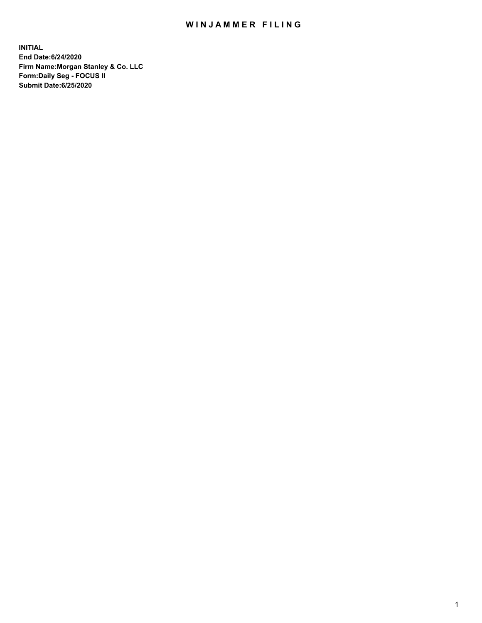## WIN JAMMER FILING

**INITIAL End Date:6/24/2020 Firm Name:Morgan Stanley & Co. LLC Form:Daily Seg - FOCUS II Submit Date:6/25/2020**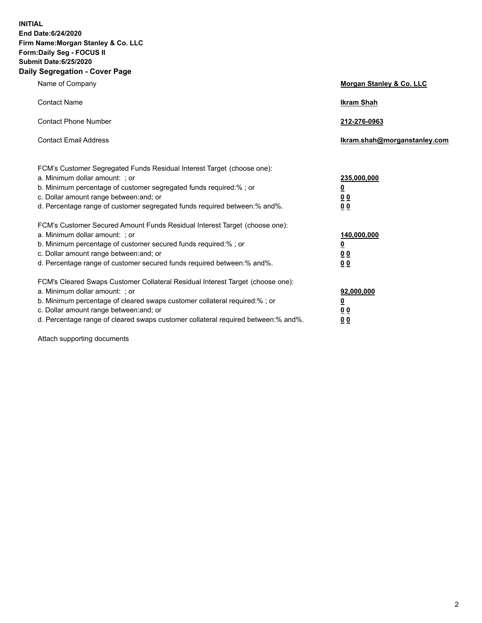**INITIAL End Date:6/24/2020 Firm Name:Morgan Stanley & Co. LLC Form:Daily Seg - FOCUS II Submit Date:6/25/2020 Daily Segregation - Cover Page**

| Name of Company                                                                                                                                                                                                                                                                                                                | Morgan Stanley & Co. LLC                                |
|--------------------------------------------------------------------------------------------------------------------------------------------------------------------------------------------------------------------------------------------------------------------------------------------------------------------------------|---------------------------------------------------------|
| <b>Contact Name</b>                                                                                                                                                                                                                                                                                                            | <b>Ikram Shah</b>                                       |
| <b>Contact Phone Number</b>                                                                                                                                                                                                                                                                                                    | 212-276-0963                                            |
| <b>Contact Email Address</b>                                                                                                                                                                                                                                                                                                   | Ikram.shah@morganstanley.com                            |
| FCM's Customer Segregated Funds Residual Interest Target (choose one):<br>a. Minimum dollar amount: ; or<br>b. Minimum percentage of customer segregated funds required:% ; or<br>c. Dollar amount range between: and; or<br>d. Percentage range of customer segregated funds required between:% and%.                         | 235,000,000<br><u>0</u><br><u>00</u><br><u>00</u>       |
| FCM's Customer Secured Amount Funds Residual Interest Target (choose one):<br>a. Minimum dollar amount: ; or<br>b. Minimum percentage of customer secured funds required:%; or<br>c. Dollar amount range between: and; or<br>d. Percentage range of customer secured funds required between:% and%.                            | 140,000,000<br><u>0</u><br><u>0 0</u><br>0 <sub>0</sub> |
| FCM's Cleared Swaps Customer Collateral Residual Interest Target (choose one):<br>a. Minimum dollar amount: ; or<br>b. Minimum percentage of cleared swaps customer collateral required:% ; or<br>c. Dollar amount range between: and; or<br>d. Percentage range of cleared swaps customer collateral required between:% and%. | 92,000,000<br><u>0</u><br><u>00</u><br>00               |

Attach supporting documents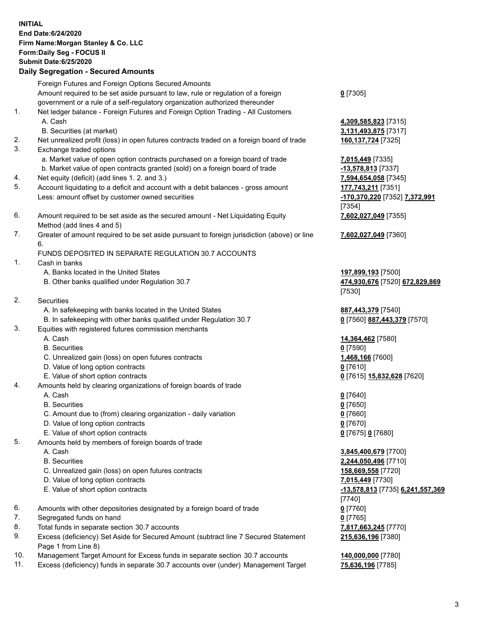## **INITIAL End Date:6/24/2020 Firm Name:Morgan Stanley & Co. LLC Form:Daily Seg - FOCUS II Submit Date:6/25/2020 Daily Segregation - Secured Amounts** Foreign Futures and Foreign Options Secured Amounts Amount required to be set aside pursuant to law, rule or regulation of a foreign government or a rule of a self-regulatory organization authorized thereunder **0** [7305] 1. Net ledger balance - Foreign Futures and Foreign Option Trading - All Customers A. Cash **4,309,585,823** [7315] B. Securities (at market) **3,131,493,875** [7317] 2. Net unrealized profit (loss) in open futures contracts traded on a foreign board of trade **160,137,724** [7325] 3. Exchange traded options a. Market value of open option contracts purchased on a foreign board of trade **7,015,449** [7335] b. Market value of open contracts granted (sold) on a foreign board of trade **-13,578,813** [7337] 4. Net equity (deficit) (add lines 1. 2. and 3.) **7,594,654,058** [7345] 5. Account liquidating to a deficit and account with a debit balances - gross amount **177,743,211** [7351] Less: amount offset by customer owned securities **-170,370,220** [7352] **7,372,991** [7354] 6. Amount required to be set aside as the secured amount - Net Liquidating Equity Method (add lines 4 and 5) **7,602,027,049** [7355] 7. Greater of amount required to be set aside pursuant to foreign jurisdiction (above) or line 6. **7,602,027,049** [7360] FUNDS DEPOSITED IN SEPARATE REGULATION 30.7 ACCOUNTS 1. Cash in banks A. Banks located in the United States **197,899,193** [7500] B. Other banks qualified under Regulation 30.7 **474,930,676** [7520] **672,829,869** [7530] 2. Securities A. In safekeeping with banks located in the United States **887,443,379** [7540] B. In safekeeping with other banks qualified under Regulation 30.7 **0** [7560] **887,443,379** [7570] 3. Equities with registered futures commission merchants A. Cash **14,364,462** [7580] B. Securities **0** [7590] C. Unrealized gain (loss) on open futures contracts **1,468,166** [7600] D. Value of long option contracts **0** [7610] E. Value of short option contracts **0** [7615] **15,832,628** [7620] 4. Amounts held by clearing organizations of foreign boards of trade A. Cash **0** [7640] B. Securities **0** [7650] C. Amount due to (from) clearing organization - daily variation **0** [7660] D. Value of long option contracts **0** [7670] E. Value of short option contracts **0** [7675] **0** [7680] 5. Amounts held by members of foreign boards of trade A. Cash **3,845,400,679** [7700] B. Securities **2,244,050,496** [7710] C. Unrealized gain (loss) on open futures contracts **158,669,558** [7720] D. Value of long option contracts **7,015,449** [7730] E. Value of short option contracts **-13,578,813** [7735] **6,241,557,369** [7740] 6. Amounts with other depositories designated by a foreign board of trade **0** [7760] 7. Segregated funds on hand **0** [7765] 8. Total funds in separate section 30.7 accounts **7,817,663,245** [7770] 9. Excess (deficiency) Set Aside for Secured Amount (subtract line 7 Secured Statement Page 1 from Line 8) **215,636,196** [7380]

- 10. Management Target Amount for Excess funds in separate section 30.7 accounts **140,000,000** [7780]
- 11. Excess (deficiency) funds in separate 30.7 accounts over (under) Management Target **75,636,196** [7785]

3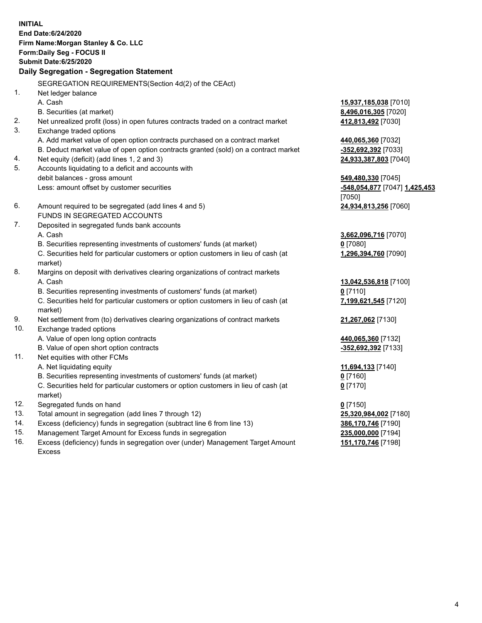**INITIAL End Date:6/24/2020 Firm Name:Morgan Stanley & Co. LLC Form:Daily Seg - FOCUS II Submit Date:6/25/2020 Daily Segregation - Segregation Statement** SEGREGATION REQUIREMENTS(Section 4d(2) of the CEAct) 1. Net ledger balance A. Cash **15,937,185,038** [7010] B. Securities (at market) **8,496,016,305** [7020] 2. Net unrealized profit (loss) in open futures contracts traded on a contract market **412,813,492** [7030] 3. Exchange traded options A. Add market value of open option contracts purchased on a contract market **440,065,360** [7032] B. Deduct market value of open option contracts granted (sold) on a contract market **-352,692,392** [7033] 4. Net equity (deficit) (add lines 1, 2 and 3) **24,933,387,803** [7040] 5. Accounts liquidating to a deficit and accounts with debit balances - gross amount **549,480,330** [7045] Less: amount offset by customer securities **-548,054,877** [7047] **1,425,453** [7050] 6. Amount required to be segregated (add lines 4 and 5) **24,934,813,256** [7060] FUNDS IN SEGREGATED ACCOUNTS 7. Deposited in segregated funds bank accounts A. Cash **3,662,096,716** [7070] B. Securities representing investments of customers' funds (at market) **0** [7080] C. Securities held for particular customers or option customers in lieu of cash (at market) **1,296,394,760** [7090] 8. Margins on deposit with derivatives clearing organizations of contract markets A. Cash **13,042,536,818** [7100] B. Securities representing investments of customers' funds (at market) **0** [7110] C. Securities held for particular customers or option customers in lieu of cash (at market) **7,199,621,545** [7120] 9. Net settlement from (to) derivatives clearing organizations of contract markets **21,267,062** [7130] 10. Exchange traded options A. Value of open long option contracts **440,065,360** [7132] B. Value of open short option contracts **and the set of our original contracts -352,692,392** [7133] 11. Net equities with other FCMs A. Net liquidating equity **11,694,133** [7140] B. Securities representing investments of customers' funds (at market) **0** [7160] C. Securities held for particular customers or option customers in lieu of cash (at market) **0** [7170] 12. Segregated funds on hand **0** [7150] 13. Total amount in segregation (add lines 7 through 12) **25,320,984,002** [7180] 14. Excess (deficiency) funds in segregation (subtract line 6 from line 13) **386,170,746** [7190] 15. Management Target Amount for Excess funds in segregation **235,000,000** [7194]

16. Excess (deficiency) funds in segregation over (under) Management Target Amount Excess

**151,170,746** [7198]